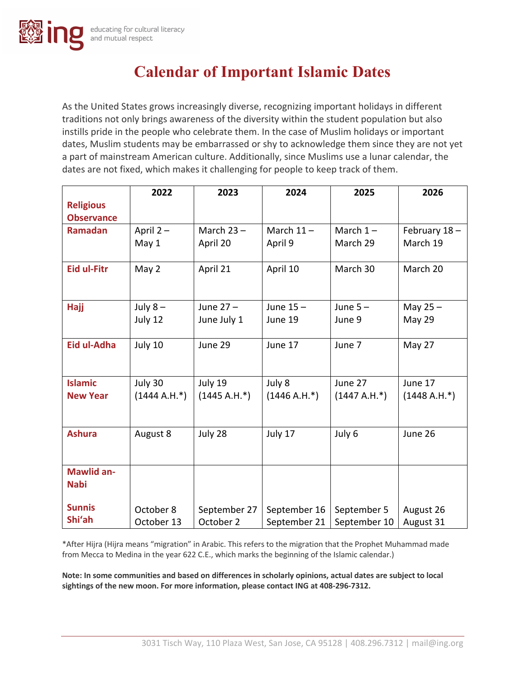# **Calendar of Important Islamic Dates**

As the United States grows increasingly diverse, recognizing important holidays in different traditions not only brings awareness of the diversity within the student population but also instills pride in the people who celebrate them. In the case of Muslim holidays or important dates, Muslim students may be embarrassed or shy to acknowledge them since they are not yet a part of mainstream American culture. Additionally, since Muslims use a lunar calendar, the dates are not fixed, which makes it challenging for people to keep track of them.

|                                  | 2022           | 2023           | 2024           | 2025           | 2026           |
|----------------------------------|----------------|----------------|----------------|----------------|----------------|
| <b>Religious</b>                 |                |                |                |                |                |
| <b>Observance</b>                |                |                |                |                |                |
| Ramadan                          | April 2-       | March $23 -$   | March $11 -$   | March $1-$     | February 18-   |
|                                  | May 1          | April 20       | April 9        | March 29       | March 19       |
| <b>Eid ul-Fitr</b>               | May 2          | April 21       | April 10       | March 30       | March 20       |
| Hajj                             | July $8-$      | June 27-       | June 15-       | June $5-$      | May $25 -$     |
|                                  | July 12        | June July 1    | June 19        | June 9         | May 29         |
| Eid ul-Adha                      | July 10        | June 29        | June 17        | June 7         | May 27         |
| <b>Islamic</b>                   | July 30        | July 19        | July 8         | June 27        | June 17        |
| <b>New Year</b>                  | $(1444 A.H.*)$ | $(1445 A.H.*)$ | $(1446 A.H.*)$ | $(1447 A.H.*)$ | $(1448 A.H.*)$ |
| <b>Ashura</b>                    | August 8       | July 28        | July 17        | July 6         | June 26        |
| <b>Mawlid an-</b><br><b>Nabi</b> |                |                |                |                |                |
| <b>Sunnis</b>                    | October 8      | September 27   | September 16   | September 5    | August 26      |
| Shi'ah                           | October 13     | October 2      | September 21   | September 10   | August 31      |

\*After Hijra (Hijra means "migration" in Arabic. This refers to the migration that the Prophet Muhammad made from Mecca to Medina in the year 622 C.E., which marks the beginning of the Islamic calendar.)

**Note: In some communities and based on differences in scholarly opinions, actual dates are subject to local sightings of the new moon. For more information, please contact ING at 408-296-7312.**